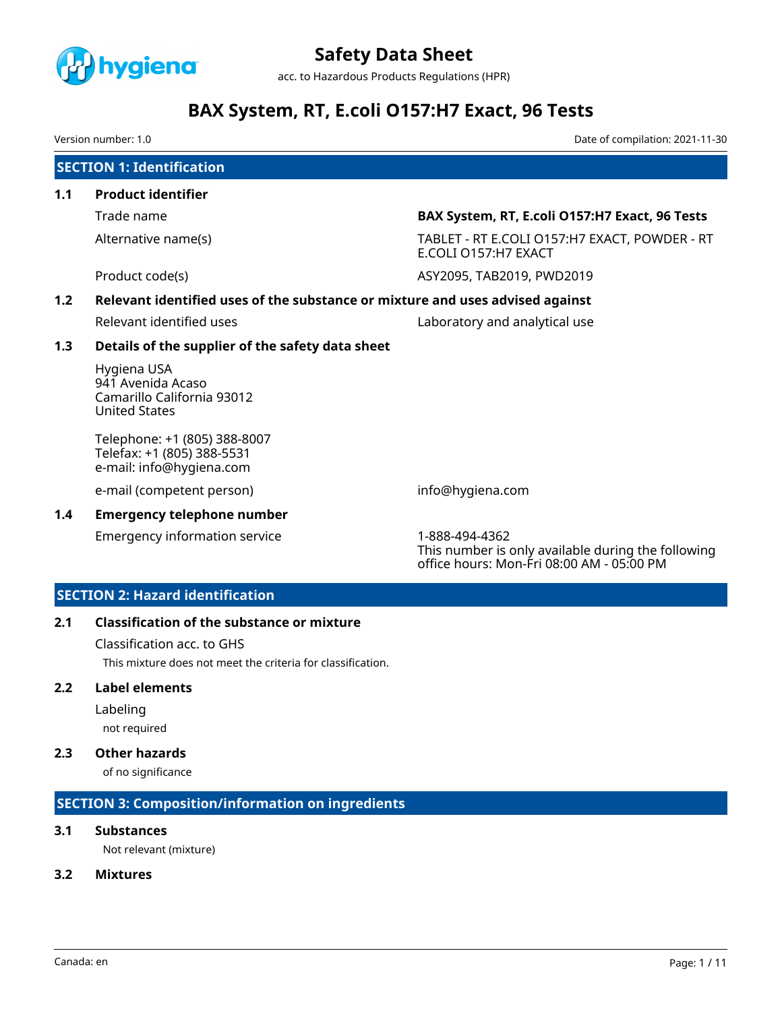

acc. to Hazardous Products Regulations (HPR)

# **BAX System, RT, E.coli O157:H7 Exact, 96 Tests**

Version number: 1.0 Date of compilation: 2021-11-30

|     | <b>SECTION 1: Identification</b>                                                       |                                                                       |  |  |  |
|-----|----------------------------------------------------------------------------------------|-----------------------------------------------------------------------|--|--|--|
| 1.1 | <b>Product identifier</b>                                                              |                                                                       |  |  |  |
|     | Trade name                                                                             | BAX System, RT, E.coli O157:H7 Exact, 96 Tests                        |  |  |  |
|     | Alternative name(s)                                                                    | TABLET - RT E.COLI O157:H7 EXACT, POWDER - RT<br>E.COLI 0157:H7 EXACT |  |  |  |
|     | Product code(s)                                                                        | ASY2095, TAB2019, PWD2019                                             |  |  |  |
| 1.2 | Relevant identified uses of the substance or mixture and uses advised against          |                                                                       |  |  |  |
|     | Relevant identified uses                                                               | Laboratory and analytical use                                         |  |  |  |
| 1.3 | Details of the supplier of the safety data sheet                                       |                                                                       |  |  |  |
|     | Hygiena USA<br>941 Avenida Acaso<br>Camarillo California 93012<br><b>United States</b> |                                                                       |  |  |  |
|     | Telephone: +1 (805) 388-8007<br>Telefax: +1 (805) 388-5531<br>e-mail: info@hygiena.com |                                                                       |  |  |  |
|     | e-mail (competent person)                                                              | info@hygiena.com                                                      |  |  |  |

#### **1.4 Emergency telephone number**

Emergency information service 1-888-494-4362

This number is only available during the following office hours: Mon-Fri 08:00 AM - 05:00 PM

### **SECTION 2: Hazard identification**

### **2.1 Classification of the substance or mixture**

Classification acc. to GHS

This mixture does not meet the criteria for classification.

#### **2.2 Label elements**

Labeling

not required

# **2.3 Other hazards**

of no significance

# **SECTION 3: Composition/information on ingredients**

### **3.1 Substances**

Not relevant (mixture)

# **3.2 Mixtures**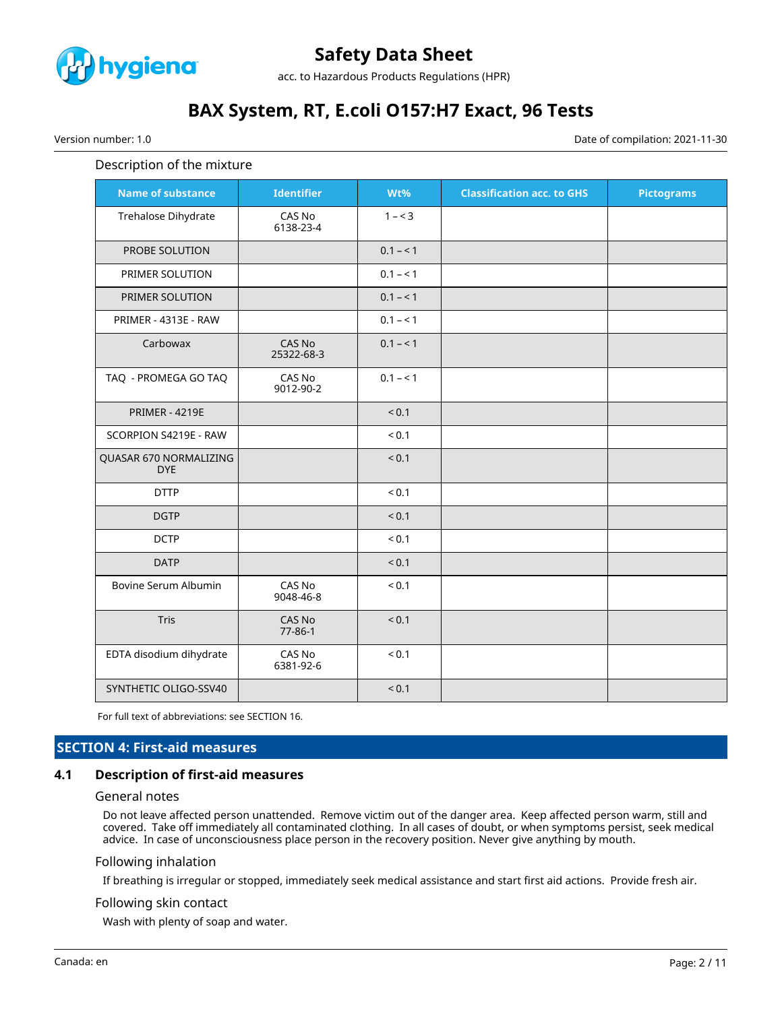

acc. to Hazardous Products Regulations (HPR)

# **BAX System, RT, E.coli O157:H7 Exact, 96 Tests**

Version number: 1.0 Date of compilation: 2021-11-30

#### Description of the mixture

| <b>Name of substance</b>             | <b>Identifier</b>       | Wt%          | <b>Classification acc. to GHS</b> | <b>Pictograms</b> |
|--------------------------------------|-------------------------|--------------|-----------------------------------|-------------------|
| Trehalose Dihydrate                  | CAS No<br>6138-23-4     | $1 - 3$      |                                   |                   |
| PROBE SOLUTION                       |                         | $0.1 - 1$    |                                   |                   |
| PRIMER SOLUTION                      |                         | $0.1 - 1$    |                                   |                   |
| PRIMER SOLUTION                      |                         | $0.1 - 1$    |                                   |                   |
| PRIMER - 4313E - RAW                 |                         | $0.1 - 1$    |                                   |                   |
| Carbowax                             | CAS No<br>25322-68-3    | $0.1 - 1$    |                                   |                   |
| TAQ - PROMEGA GO TAQ                 | CAS No<br>9012-90-2     | $0.1 - 1$    |                                   |                   |
| <b>PRIMER - 4219E</b>                |                         | ${}_{0.1}$   |                                   |                   |
| SCORPION S4219E - RAW                |                         | ${}_{0.1}$   |                                   |                   |
| QUASAR 670 NORMALIZING<br><b>DYE</b> |                         | < 0.1        |                                   |                   |
| <b>DTTP</b>                          |                         | ${}_{0.1}$   |                                   |                   |
| <b>DGTP</b>                          |                         | < 0.1        |                                   |                   |
| <b>DCTP</b>                          |                         | ${}_{< 0.1}$ |                                   |                   |
| <b>DATP</b>                          |                         | < 0.1        |                                   |                   |
| Bovine Serum Albumin                 | CAS No<br>9048-46-8     | ${}_{0.1}$   |                                   |                   |
| Tris                                 | CAS No<br>$77 - 86 - 1$ | < 0.1        |                                   |                   |
| EDTA disodium dihydrate              | CAS No<br>6381-92-6     | ${}_{0.1}$   |                                   |                   |
| SYNTHETIC OLIGO-SSV40                |                         | < 0.1        |                                   |                   |

For full text of abbreviations: see SECTION 16.

### **SECTION 4: First-aid measures**

#### **4.1 Description of first-aid measures**

#### General notes

Do not leave affected person unattended. Remove victim out of the danger area. Keep affected person warm, still and covered. Take off immediately all contaminated clothing. In all cases of doubt, or when symptoms persist, seek medical advice. In case of unconsciousness place person in the recovery position. Never give anything by mouth.

#### Following inhalation

If breathing is irregular or stopped, immediately seek medical assistance and start first aid actions. Provide fresh air.

#### Following skin contact

Wash with plenty of soap and water.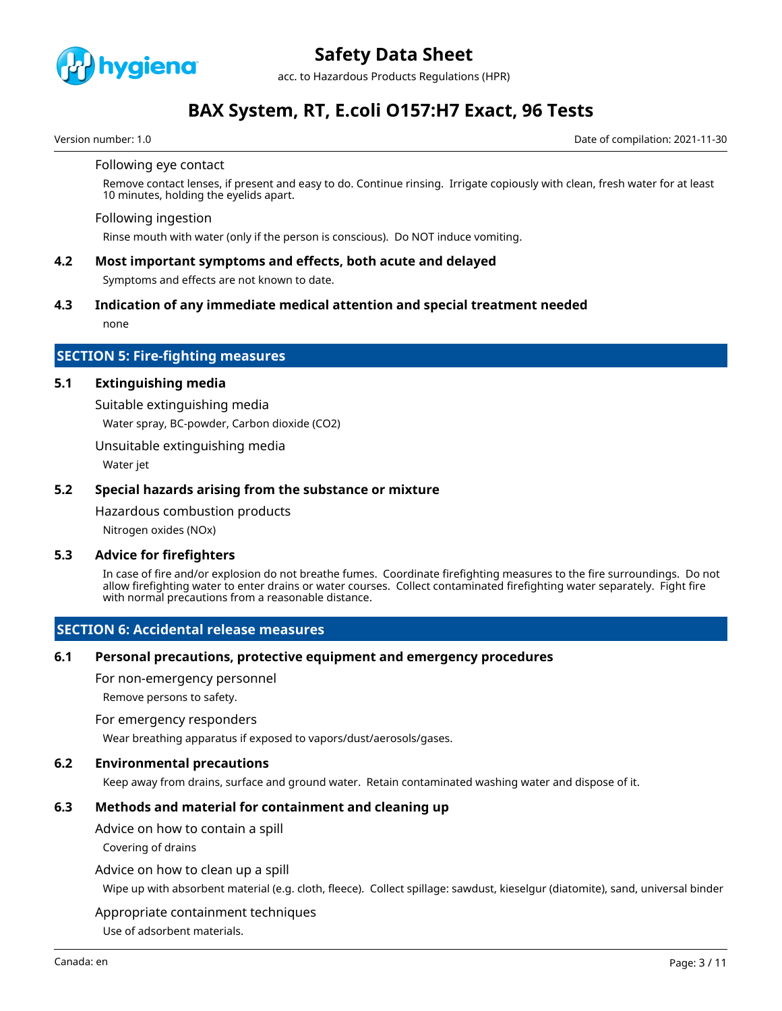

acc. to Hazardous Products Regulations (HPR)

# **BAX System, RT, E.coli O157:H7 Exact, 96 Tests**

Version number: 1.0 Date of compilation: 2021-11-30

#### Following eye contact

Remove contact lenses, if present and easy to do. Continue rinsing. Irrigate copiously with clean, fresh water for at least 10 minutes, holding the eyelids apart.

#### Following ingestion

Rinse mouth with water (only if the person is conscious). Do NOT induce vomiting.

### **4.2 Most important symptoms and effects, both acute and delayed**

Symptoms and effects are not known to date.

#### **4.3 Indication of any immediate medical attention and special treatment needed**

none

#### **SECTION 5: Fire-fighting measures**

#### **5.1 Extinguishing media**

Suitable extinguishing media

Water spray, BC-powder, Carbon dioxide (CO2)

Unsuitable extinguishing media

Water jet

#### **5.2 Special hazards arising from the substance or mixture**

Hazardous combustion products

Nitrogen oxides (NOx)

#### **5.3 Advice for firefighters**

In case of fire and/or explosion do not breathe fumes. Coordinate firefighting measures to the fire surroundings. Do not allow firefighting water to enter drains or water courses. Collect contaminated firefighting water separately. Fight fire with normal precautions from a reasonable distance.

#### **SECTION 6: Accidental release measures**

#### **6.1 Personal precautions, protective equipment and emergency procedures**

For non-emergency personnel

Remove persons to safety.

#### For emergency responders

Wear breathing apparatus if exposed to vapors/dust/aerosols/gases.

#### **6.2 Environmental precautions**

Keep away from drains, surface and ground water. Retain contaminated washing water and dispose of it.

### **6.3 Methods and material for containment and cleaning up**

Advice on how to contain a spill

Covering of drains

#### Advice on how to clean up a spill

Wipe up with absorbent material (e.g. cloth, fleece). Collect spillage: sawdust, kieselgur (diatomite), sand, universal binder

#### Appropriate containment techniques

Use of adsorbent materials.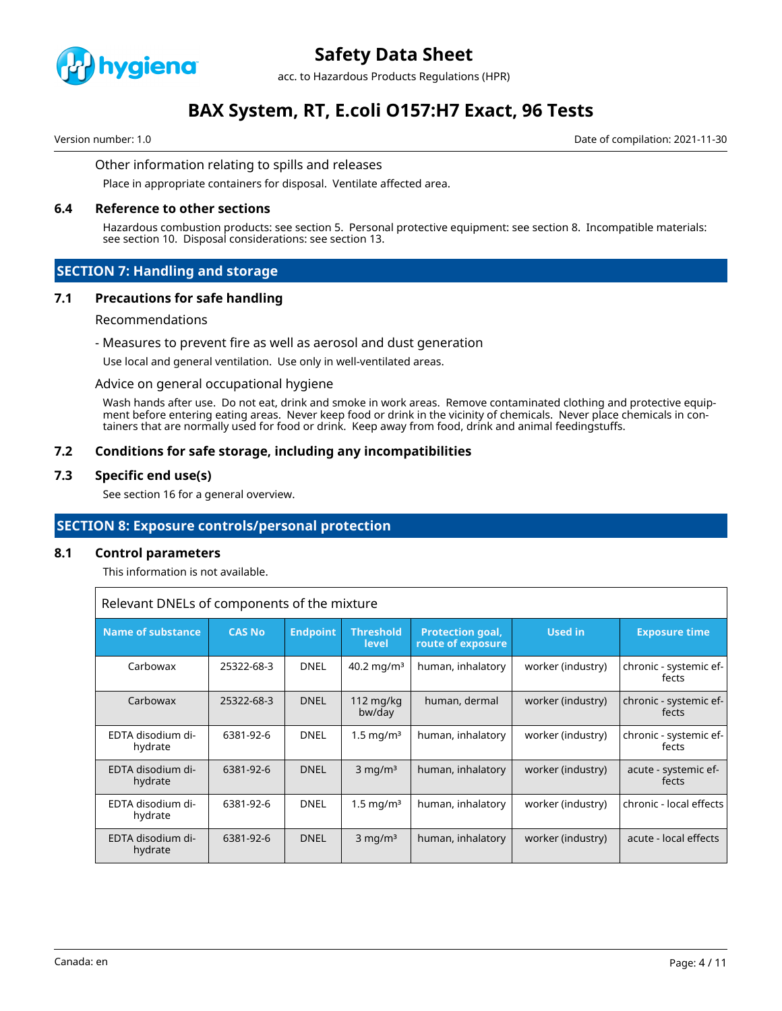

acc. to Hazardous Products Regulations (HPR)

# **BAX System, RT, E.coli O157:H7 Exact, 96 Tests**

Version number: 1.0 Date of compilation: 2021-11-30

#### Other information relating to spills and releases

Place in appropriate containers for disposal. Ventilate affected area.

#### **6.4 Reference to other sections**

Hazardous combustion products: see section 5. Personal protective equipment: see section 8. Incompatible materials: see section 10. Disposal considerations: see section 13.

#### **SECTION 7: Handling and storage**

#### **7.1 Precautions for safe handling**

#### Recommendations

#### - Measures to prevent fire as well as aerosol and dust generation

Use local and general ventilation. Use only in well-ventilated areas.

#### Advice on general occupational hygiene

Wash hands after use. Do not eat, drink and smoke in work areas. Remove contaminated clothing and protective equipment before entering eating areas. Never keep food or drink in the vicinity of chemicals. Never place chemicals in containers that are normally used for food or drink. Keep away from food, drink and animal feedingstuffs.

#### **7.2 Conditions for safe storage, including any incompatibilities**

#### **7.3 Specific end use(s)**

See section 16 for a general overview.

### **SECTION 8: Exposure controls/personal protection**

#### **8.1 Control parameters**

This information is not available.

Relevant DNELs of components of the mixture

| <b>Name of substance</b>     | <b>CAS No</b> | <b>Endpoint</b> | <b>Threshold</b><br>level     | <b>Protection goal,</b><br>route of exposure | Used in           | <b>Exposure time</b>            |
|------------------------------|---------------|-----------------|-------------------------------|----------------------------------------------|-------------------|---------------------------------|
| Carbowax                     | 25322-68-3    | <b>DNEL</b>     | 40.2 mg/m <sup>3</sup>        | human, inhalatory                            | worker (industry) | chronic - systemic ef-<br>fects |
| Carbowax                     | 25322-68-3    | <b>DNEL</b>     | $112 \text{ mg/kg}$<br>bw/day | human, dermal                                | worker (industry) | chronic - systemic ef-<br>fects |
| EDTA disodium di-<br>hydrate | 6381-92-6     | <b>DNEL</b>     | $1.5 \text{ mg/m}^3$          | human, inhalatory                            | worker (industry) | chronic - systemic ef-<br>fects |
| EDTA disodium di-<br>hydrate | 6381-92-6     | <b>DNEL</b>     | $3 \text{ mg/m}^3$            | human, inhalatory                            | worker (industry) | acute - systemic ef-<br>fects   |
| EDTA disodium di-<br>hydrate | 6381-92-6     | <b>DNEL</b>     | $1.5 \,\mathrm{mg/m^3}$       | human, inhalatory                            | worker (industry) | chronic - local effects         |
| EDTA disodium di-<br>hydrate | 6381-92-6     | <b>DNEL</b>     | $3 \text{ mg/m}^3$            | human, inhalatory                            | worker (industry) | acute - local effects           |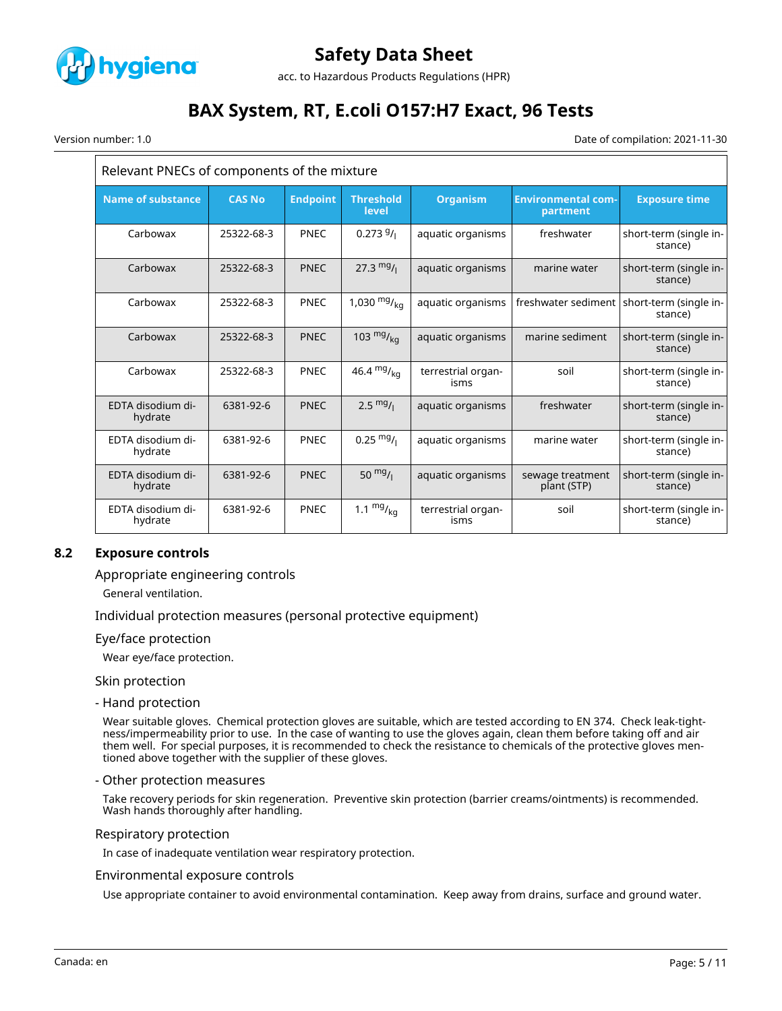

acc. to Hazardous Products Regulations (HPR)

# **BAX System, RT, E.coli O157:H7 Exact, 96 Tests**

Version number: 1.0 Date of compilation: 2021-11-30

| Relevant PNECs of components of the mixture |               |                 |                           |                            |                                       |                                                         |
|---------------------------------------------|---------------|-----------------|---------------------------|----------------------------|---------------------------------------|---------------------------------------------------------|
| <b>Name of substance</b>                    | <b>CAS No</b> | <b>Endpoint</b> | <b>Threshold</b><br>level | <b>Organism</b>            | <b>Environmental com-</b><br>partment | <b>Exposure time</b>                                    |
| Carbowax                                    | 25322-68-3    | <b>PNEC</b>     | $0.2739/_1$               | aquatic organisms          | freshwater                            | short-term (single in-<br>stance)                       |
| Carbowax                                    | 25322-68-3    | <b>PNEC</b>     | $27.3 \frac{mg}{l}$       | aquatic organisms          | marine water                          | short-term (single in-<br>stance)                       |
| Carbowax                                    | 25322-68-3    | <b>PNEC</b>     | 1,030 $mg/_{ka}$          | aquatic organisms          |                                       | freshwater sediment   short-term (single in-<br>stance) |
| Carbowax                                    | 25322-68-3    | <b>PNEC</b>     | 103 $mg/_{ka}$            | aquatic organisms          | marine sediment                       | short-term (single in-<br>stance)                       |
| Carbowax                                    | 25322-68-3    | <b>PNEC</b>     | 46.4 $mg/kq$              | terrestrial organ-<br>isms | soil                                  | short-term (single in-<br>stance)                       |
| EDTA disodium di-<br>hydrate                | 6381-92-6     | <b>PNEC</b>     | $2.5 \frac{mg}{l}$        | aquatic organisms          | freshwater                            | short-term (single in-<br>stance)                       |
| EDTA disodium di-<br>hydrate                | 6381-92-6     | <b>PNEC</b>     | $0.25 \frac{mg}{l}$       | aquatic organisms          | marine water                          | short-term (single in-<br>stance)                       |
| EDTA disodium di-<br>hydrate                | 6381-92-6     | <b>PNEC</b>     | 50 $mg/1$                 | aquatic organisms          | sewage treatment<br>plant (STP)       | short-term (single in-<br>stance)                       |
| EDTA disodium di-<br>hydrate                | 6381-92-6     | <b>PNEC</b>     | 1.1 $mg/_{kq}$            | terrestrial organ-<br>isms | soil                                  | short-term (single in-<br>stance)                       |

### **8.2 Exposure controls**

Appropriate engineering controls

General ventilation.

Individual protection measures (personal protective equipment)

#### Eye/face protection

Wear eye/face protection.

Skin protection

- Hand protection

Wear suitable gloves. Chemical protection gloves are suitable, which are tested according to EN 374. Check leak-tightness/impermeability prior to use. In the case of wanting to use the gloves again, clean them before taking off and air them well. For special purposes, it is recommended to check the resistance to chemicals of the protective gloves mentioned above together with the supplier of these gloves.

#### - Other protection measures

Take recovery periods for skin regeneration. Preventive skin protection (barrier creams/ointments) is recommended. Wash hands thoroughly after handling.

Respiratory protection

In case of inadequate ventilation wear respiratory protection.

#### Environmental exposure controls

Use appropriate container to avoid environmental contamination. Keep away from drains, surface and ground water.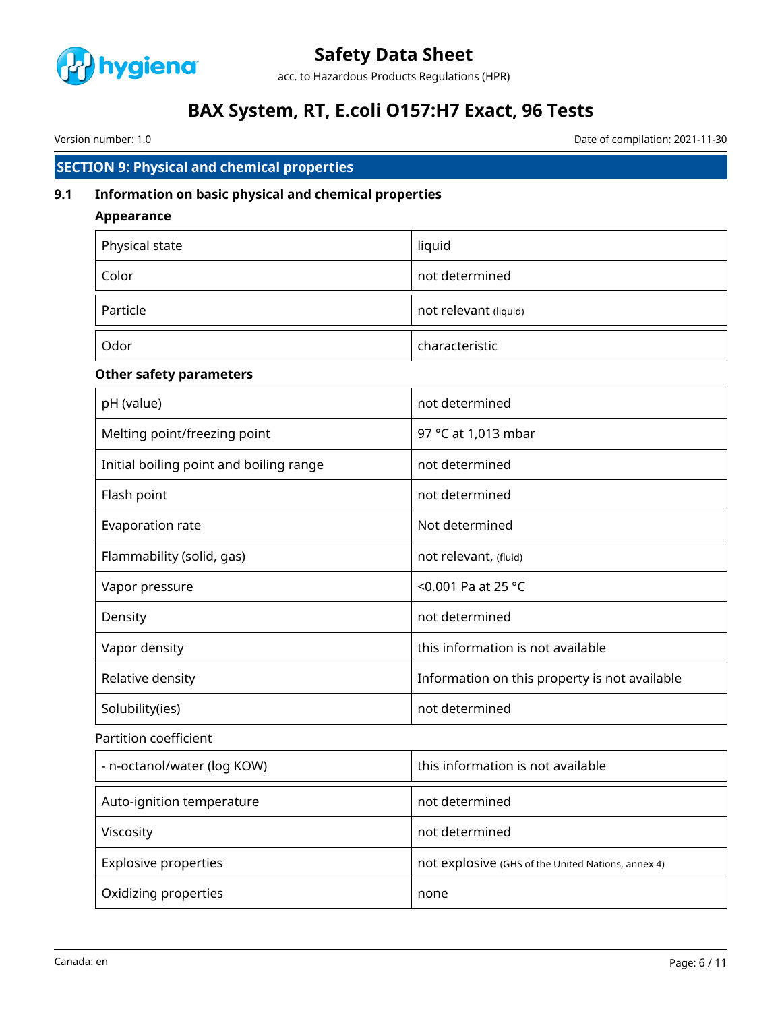

acc. to Hazardous Products Regulations (HPR)

# **BAX System, RT, E.coli O157:H7 Exact, 96 Tests**

Version number: 1.0 Date of compilation: 2021-11-30

# **SECTION 9: Physical and chemical properties**

### **9.1 Information on basic physical and chemical properties**

### **Appearance**

| Physical state | liquid                |
|----------------|-----------------------|
| Color          | not determined        |
| Particle       | not relevant (liquid) |
| Odor           | characteristic        |

### **Other safety parameters**

| pH (value)                              | not determined                                |
|-----------------------------------------|-----------------------------------------------|
| Melting point/freezing point            | 97 °C at 1,013 mbar                           |
| Initial boiling point and boiling range | not determined                                |
| Flash point                             | not determined                                |
| Evaporation rate                        | Not determined                                |
| Flammability (solid, gas)               | not relevant, (fluid)                         |
| Vapor pressure                          | <0.001 Pa at 25 $^{\circ}$ C                  |
| Density                                 | not determined                                |
| Vapor density                           | this information is not available             |
| Relative density                        | Information on this property is not available |
| Solubility(ies)                         | not determined                                |

### Partition coefficient

| - n-octanol/water (log KOW) | this information is not available                  |
|-----------------------------|----------------------------------------------------|
| Auto-ignition temperature   | not determined                                     |
| Viscosity                   | not determined                                     |
| <b>Explosive properties</b> | not explosive (GHS of the United Nations, annex 4) |
| Oxidizing properties        | none                                               |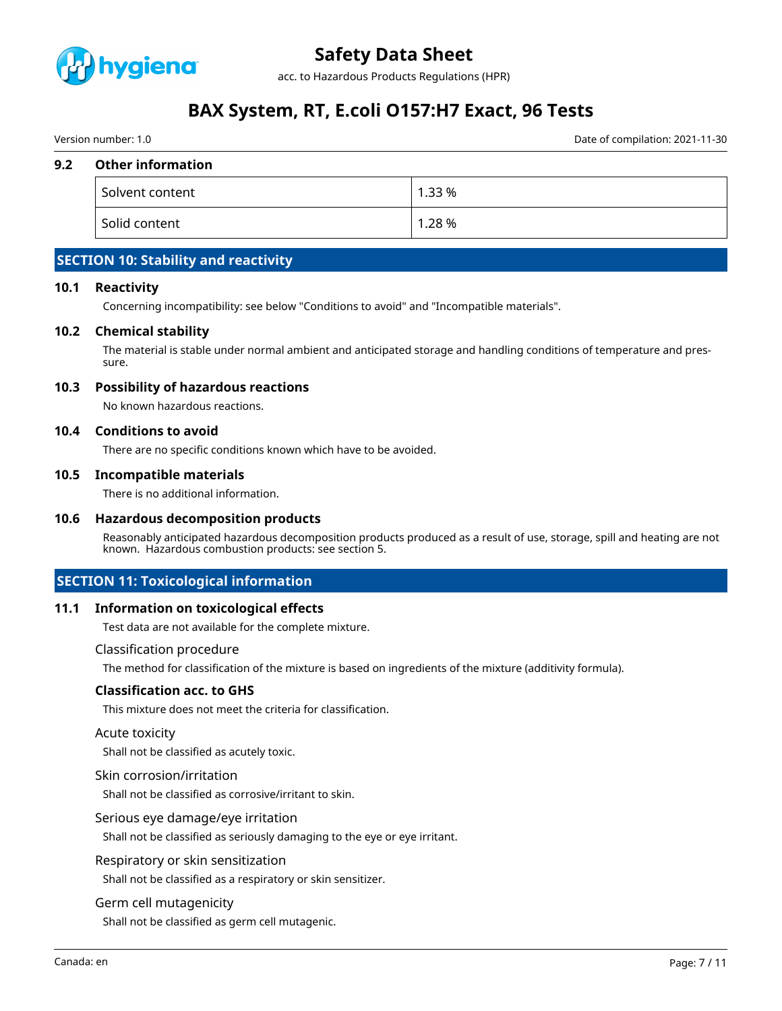

acc. to Hazardous Products Regulations (HPR)

# **BAX System, RT, E.coli O157:H7 Exact, 96 Tests**

Version number: 1.0 Date of compilation: 2021-11-30

#### **9.2 Other information**

| Solvent content | 1.33 % |
|-----------------|--------|
| Solid content   | 1.28%  |

# **SECTION 10: Stability and reactivity**

#### **10.1 Reactivity**

Concerning incompatibility: see below "Conditions to avoid" and "Incompatible materials".

#### **10.2 Chemical stability**

The material is stable under normal ambient and anticipated storage and handling conditions of temperature and pressure.

#### **10.3 Possibility of hazardous reactions**

No known hazardous reactions.

#### **10.4 Conditions to avoid**

There are no specific conditions known which have to be avoided.

#### **10.5 Incompatible materials**

There is no additional information.

#### **10.6 Hazardous decomposition products**

Reasonably anticipated hazardous decomposition products produced as a result of use, storage, spill and heating are not known. Hazardous combustion products: see section 5.

### **SECTION 11: Toxicological information**

#### **11.1 Information on toxicological effects**

Test data are not available for the complete mixture.

#### Classification procedure

The method for classification of the mixture is based on ingredients of the mixture (additivity formula).

#### **Classification acc. to GHS**

This mixture does not meet the criteria for classification.

#### Acute toxicity

Shall not be classified as acutely toxic.

#### Skin corrosion/irritation

Shall not be classified as corrosive/irritant to skin.

#### Serious eye damage/eye irritation

Shall not be classified as seriously damaging to the eye or eye irritant.

#### Respiratory or skin sensitization

Shall not be classified as a respiratory or skin sensitizer.

#### Germ cell mutagenicity

Shall not be classified as germ cell mutagenic.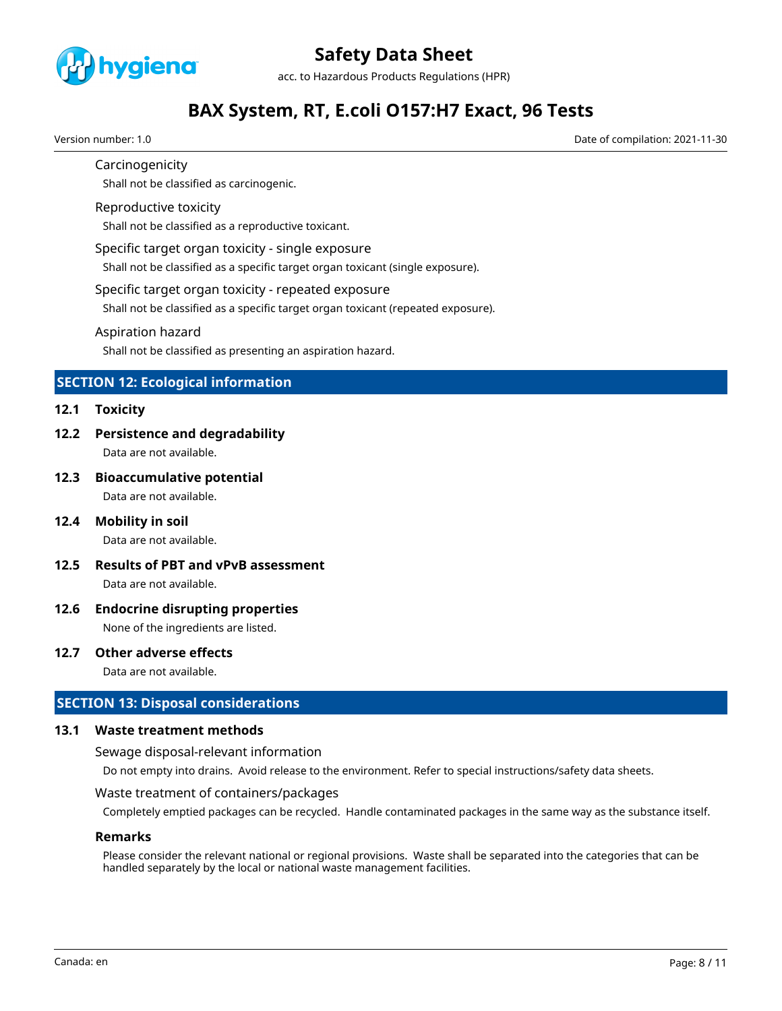

acc. to Hazardous Products Regulations (HPR)

# **BAX System, RT, E.coli O157:H7 Exact, 96 Tests**

Version number: 1.0 Date of compilation: 2021-11-30

#### Carcinogenicity

Shall not be classified as carcinogenic.

#### Reproductive toxicity

Shall not be classified as a reproductive toxicant.

#### Specific target organ toxicity - single exposure

Shall not be classified as a specific target organ toxicant (single exposure).

#### Specific target organ toxicity - repeated exposure

Shall not be classified as a specific target organ toxicant (repeated exposure).

#### Aspiration hazard

Shall not be classified as presenting an aspiration hazard.

### **SECTION 12: Ecological information**

#### **12.1 Toxicity**

**12.2 Persistence and degradability**

Data are not available.

**12.3 Bioaccumulative potential**

Data are not available.

**12.4 Mobility in soil**

Data are not available.

- **12.5 Results of PBT and vPvB assessment** Data are not available.
- **12.6 Endocrine disrupting properties**

None of the ingredients are listed.

# **12.7 Other adverse effects**

Data are not available.

### **SECTION 13: Disposal considerations**

#### **13.1 Waste treatment methods**

Sewage disposal-relevant information

Do not empty into drains. Avoid release to the environment. Refer to special instructions/safety data sheets.

#### Waste treatment of containers/packages

Completely emptied packages can be recycled. Handle contaminated packages in the same way as the substance itself.

#### **Remarks**

Please consider the relevant national or regional provisions. Waste shall be separated into the categories that can be handled separately by the local or national waste management facilities.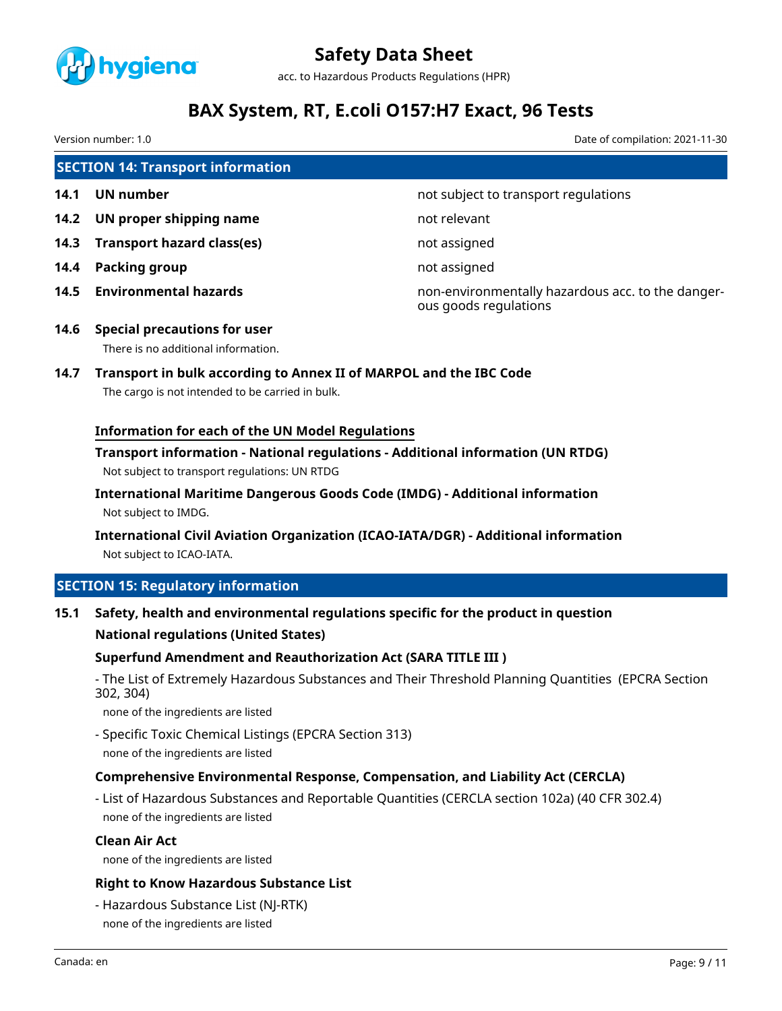

acc. to Hazardous Products Regulations (HPR)

# **BAX System, RT, E.coli O157:H7 Exact, 96 Tests**

Version number: 1.0 Date of compilation: 2021-11-30

|      | <b>SECTION 14: Transport information</b> |                                                                            |  |  |  |
|------|------------------------------------------|----------------------------------------------------------------------------|--|--|--|
| 14.1 | UN number                                | not subject to transport regulations                                       |  |  |  |
| 14.2 | UN proper shipping name                  | not relevant                                                               |  |  |  |
| 14.3 | Transport hazard class(es)               | not assigned                                                               |  |  |  |
| 14.4 | Packing group                            | not assigned                                                               |  |  |  |
| 14.5 | <b>Environmental hazards</b>             | non-environmentally hazardous acc. to the danger-<br>ous goods regulations |  |  |  |
| 14.6 | <b>Special precautions for user</b>      |                                                                            |  |  |  |
|      | There is no additional information.      |                                                                            |  |  |  |

# **14.7 Transport in bulk according to Annex II of MARPOL and the IBC Code**

The cargo is not intended to be carried in bulk.

### **Information for each of the UN Model Regulations**

### **Transport information - National regulations - Additional information (UN RTDG)** Not subject to transport regulations: UN RTDG

**International Maritime Dangerous Goods Code (IMDG) - Additional information** Not subject to IMDG.

# **International Civil Aviation Organization (ICAO-IATA/DGR) - Additional information** Not subject to ICAO-IATA.

### **SECTION 15: Regulatory information**

#### **15.1 Safety, health and environmental regulations specific for the product in question**

#### **National regulations (United States)**

#### **Superfund Amendment and Reauthorization Act (SARA TITLE III )**

- The List of Extremely Hazardous Substances and Their Threshold Planning Quantities (EPCRA Section 302, 304)

none of the ingredients are listed

- Specific Toxic Chemical Listings (EPCRA Section 313) none of the ingredients are listed

### **Comprehensive Environmental Response, Compensation, and Liability Act (CERCLA)**

- List of Hazardous Substances and Reportable Quantities (CERCLA section 102a) (40 CFR 302.4) none of the ingredients are listed

#### **Clean Air Act**

none of the ingredients are listed

#### **Right to Know Hazardous Substance List**

- Hazardous Substance List (NJ-RTK) none of the ingredients are listed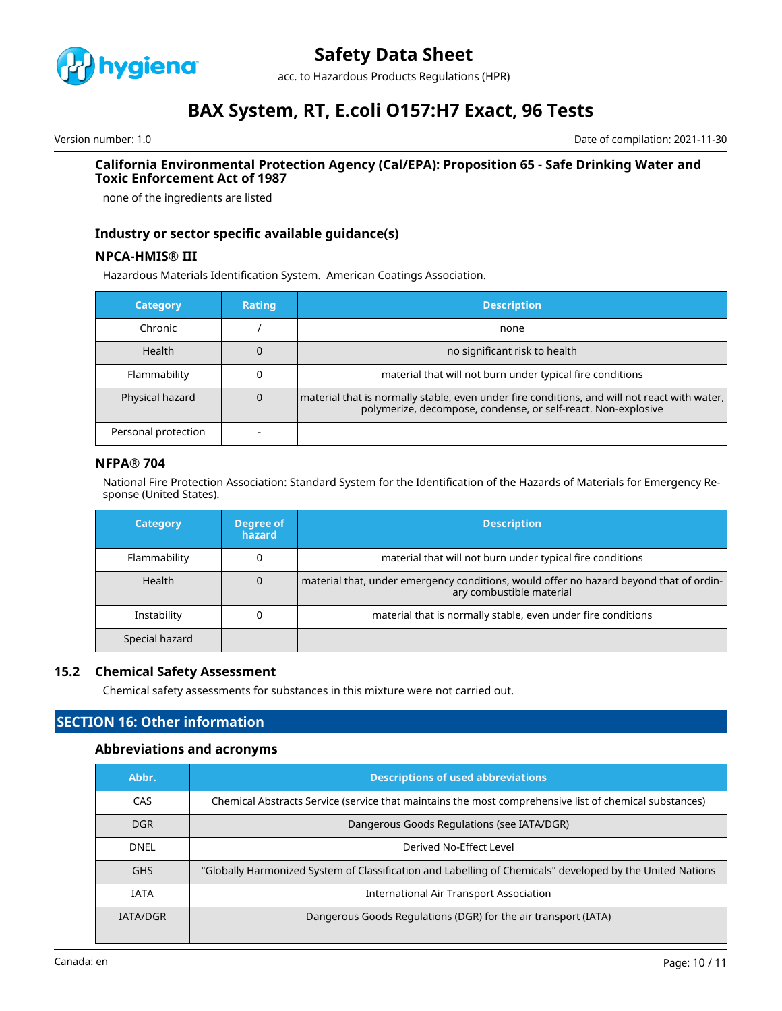

acc. to Hazardous Products Regulations (HPR)

# **BAX System, RT, E.coli O157:H7 Exact, 96 Tests**

Version number: 1.0 Date of compilation: 2021-11-30

#### **California Environmental Protection Agency (Cal/EPA): Proposition 65 - Safe Drinking Water and Toxic Enforcement Act of 1987**

none of the ingredients are listed

### **Industry or sector specific available guidance(s)**

#### **NPCA-HMIS® III**

Hazardous Materials Identification System. American Coatings Association.

| <b>Category</b>     | <b>Rating</b> | <b>Description</b>                                                                                                                                              |
|---------------------|---------------|-----------------------------------------------------------------------------------------------------------------------------------------------------------------|
| Chronic             |               | none                                                                                                                                                            |
| Health              |               | no significant risk to health                                                                                                                                   |
| Flammability        |               | material that will not burn under typical fire conditions                                                                                                       |
| Physical hazard     |               | material that is normally stable, even under fire conditions, and will not react with water,  <br>polymerize, decompose, condense, or self-react. Non-explosive |
| Personal protection |               |                                                                                                                                                                 |

#### **NFPA® 704**

National Fire Protection Association: Standard System for the Identification of the Hazards of Materials for Emergency Response (United States).

| <b>Category</b> | Degree of<br>hazard | <b>Description</b>                                                                                                 |
|-----------------|---------------------|--------------------------------------------------------------------------------------------------------------------|
| Flammability    |                     | material that will not burn under typical fire conditions                                                          |
| Health          | 0                   | material that, under emergency conditions, would offer no hazard beyond that of ordin-<br>ary combustible material |
| Instability     |                     | material that is normally stable, even under fire conditions                                                       |
| Special hazard  |                     |                                                                                                                    |

### **15.2 Chemical Safety Assessment**

Chemical safety assessments for substances in this mixture were not carried out.

### **SECTION 16: Other information**

#### **Abbreviations and acronyms**

| Abbr.           | <b>Descriptions of used abbreviations</b>                                                                 |  |  |
|-----------------|-----------------------------------------------------------------------------------------------------------|--|--|
| CAS             | Chemical Abstracts Service (service that maintains the most comprehensive list of chemical substances)    |  |  |
| <b>DGR</b>      | Dangerous Goods Regulations (see IATA/DGR)                                                                |  |  |
| DNEL            | Derived No-Effect Level                                                                                   |  |  |
| <b>GHS</b>      | "Globally Harmonized System of Classification and Labelling of Chemicals" developed by the United Nations |  |  |
| <b>IATA</b>     | International Air Transport Association                                                                   |  |  |
| <b>IATA/DGR</b> | Dangerous Goods Regulations (DGR) for the air transport (IATA)                                            |  |  |